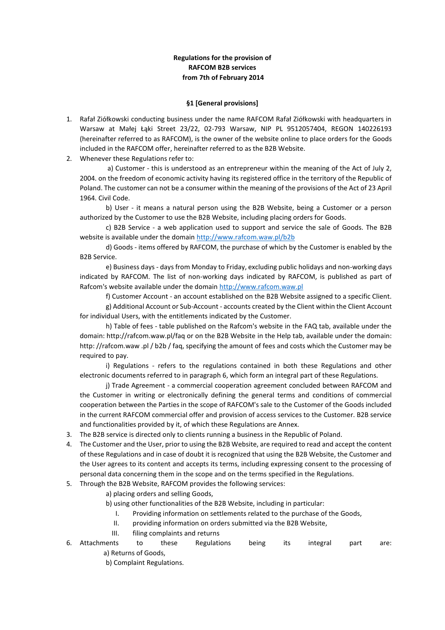## **Regulations for the provision of RAFCOM B2B services from 7th of February 2014**

#### **§1 [General provisions]**

- 1. Rafał Ziółkowski conducting business under the name RAFCOM Rafał Ziółkowski with headquarters in Warsaw at Małej Łąki Street 23/22, 02-793 Warsaw, NIP PL 9512057404, REGON 140226193 (hereinafter referred to as RAFCOM), is the owner of the website online to place orders for the Goods included in the RAFCOM offer, hereinafter referred to as the B2B Website.
- 2. Whenever these Regulations refer to:

a) Customer - this is understood as an entrepreneur within the meaning of the Act of July 2, 2004. on the freedom of economic activity having its registered office in the territory of the Republic of Poland. The customer can not be a consumer within the meaning of the provisions of the Act of 23 April 1964. Civil Code.

b) User - it means a natural person using the B2B Website, being a Customer or a person authorized by the Customer to use the B2B Website, including placing orders for Goods.

c) B2B Service - a web application used to support and service the sale of Goods. The B2B website is available under the domain<http://www.rafcom.waw.pl/b2b>

d) Goods - items offered by RAFCOM, the purchase of which by the Customer is enabled by the B2B Service.

e) Business days - days from Monday to Friday, excluding public holidays and non-working days indicated by RAFCOM. The list of non-working days indicated by RAFCOM, is published as part of Rafcom's website available under the domain [http://www.rafcom.waw.pl](http://www.rafcom.waw.pl/)

f) Customer Account - an account established on the B2B Website assigned to a specific Client.

g) Additional Account or Sub-Account - accounts created by the Client within the Client Account for individual Users, with the entitlements indicated by the Customer.

h) Table of fees - table published on the Rafcom's website in the FAQ tab, available under the domain: http://rafcom.waw.pl/faq or on the B2B Website in the Help tab, available under the domain: http: //rafcom.waw .pl / b2b / faq, specifying the amount of fees and costs which the Customer may be required to pay.

i) Regulations - refers to the regulations contained in both these Regulations and other electronic documents referred to in paragraph 6, which form an integral part of these Regulations.

j) Trade Agreement - a commercial cooperation agreement concluded between RAFCOM and the Customer in writing or electronically defining the general terms and conditions of commercial cooperation between the Parties in the scope of RAFCOM's sale to the Customer of the Goods included in the current RAFCOM commercial offer and provision of access services to the Customer. B2B service and functionalities provided by it, of which these Regulations are Annex.

- 3. The B2B service is directed only to clients running a business in the Republic of Poland.
- 4. The Customer and the User, prior to using the B2B Website, are required to read and accept the content of these Regulations and in case of doubt it is recognized that using the B2B Website, the Customer and the User agrees to its content and accepts its terms, including expressing consent to the processing of personal data concerning them in the scope and on the terms specified in the Regulations.
- 5. Through the B2B Website, RAFCOM provides the following services:
	- a) placing orders and selling Goods,

b) using other functionalities of the B2B Website, including in particular:

- I. Providing information on settlements related to the purchase of the Goods,
- II. providing information on orders submitted via the B2B Website,
- III. filing complaints and returns

6. Attachments to these Regulations being its integral part are: a) Returns of Goods,

b) Complaint Regulations.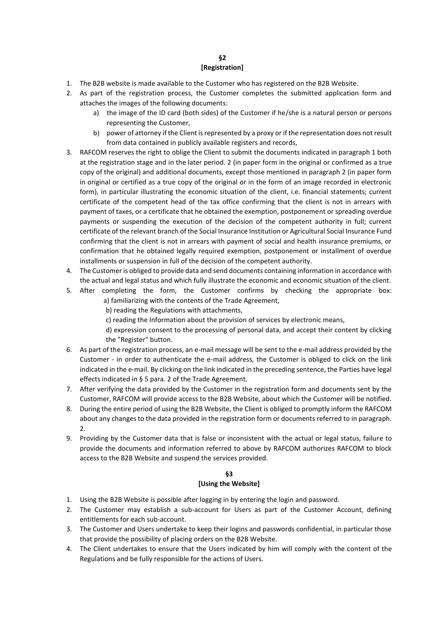### **§2 [Registration]**

- 1. The B2B website is made available to the Customer who has registered on the B2B Website.
- 2. As part of the registration process, the Customer completes the submitted application form and attaches the images of the following documents:
	- a) the image of the ID card (both sides) of the Customer if he/she is a natural person or persons representing the Customer,
	- b) power of attorney if the Client is represented by a proxy or if the representation does not result from data contained in publicly available registers and records,
- 3. RAFCOM reserves the right to oblige the Client to submit the documents indicated in paragraph 1 both at the registration stage and in the later period. 2 (in paper form in the original or confirmed as a true copy of the original) and additional documents, except those mentioned in paragraph 2 (in paper form in original or certified as a true copy of the original or in the form of an image recorded in electronic form), in particular illustrating the economic situation of the client, i.e. financial statements; current certificate of the competent head of the tax office confirming that the client is not in arrears with payment of taxes, or a certificate that he obtained the exemption, postponement or spreading overdue payments or suspending the execution of the decision of the competent authority in full; current certificate of the relevant branch of the Social Insurance Institution or Agricultural Social Insurance Fund confirming that the client is not in arrears with payment of social and health insurance premiums, or confirmation that he obtained legally required exemption, postponement or installment of overdue installments or suspension in full of the decision of the competent authority.
- 4. The Customer is obliged to provide data and send documents containing information in accordance with the actual and legal status and which fully illustrate the economic and economic situation of the client.
- 5. After completing the form, the Customer confirms by checking the appropriate box: a) familiarizing with the contents of the Trade Agreement,
	- b) reading the Regulations with attachments,
	- c) reading the Information about the provision of services by electronic means,
	- d) expression consent to the processing of personal data, and accept their content by clicking the "Register" button.
- 6. As part of the registration process, an e-mail message will be sent to the e-mail address provided by the Customer - in order to authenticate the e-mail address, the Customer is obliged to click on the link indicated in the e-mail. By clicking on the link indicated in the preceding sentence, the Parties have legal effects indicated in § 5 para. 2 of the Trade Agreement.
- 7. After verifying the data provided by the Customer in the registration form and documents sent by the Customer, RAFCOM will provide access to the B2B Website, about which the Customer will be notified.
- 8. During the entire period of using the B2B Website, the Client is obliged to promptly inform the RAFCOM about any changes to the data provided in the registration form or documents referred to in paragraph.  $\mathcal{L}$
- 9. Providing by the Customer data that is false or inconsistent with the actual or legal status, failure to provide the documents and information referred to above by RAFCOM authorizes RAFCOM to block access to the B2B Website and suspend the services provided.

# **§3 [Using the Website]**

- 1. Using the B2B Website is possible after logging in by entering the login and password.
- 2. The Customer may establish a sub-account for Users as part of the Customer Account, defining entitlements for each sub-account.
- 3. The Customer and Users undertake to keep their logins and passwords confidential, in particular those that provide the possibility of placing orders on the B2B Website.
- 4. The Client undertakes to ensure that the Users indicated by him will comply with the content of the Regulations and be fully responsible for the actions of Users.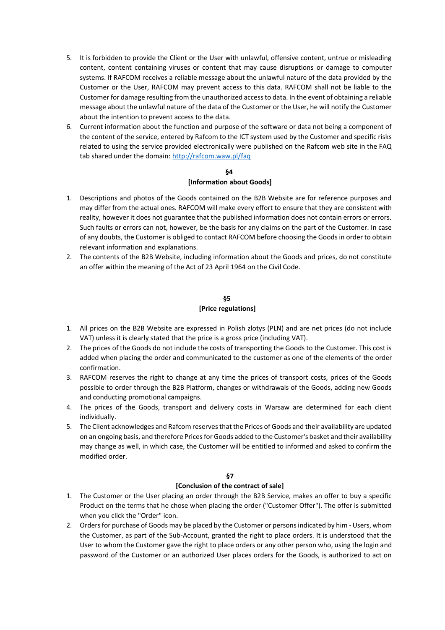- 5. It is forbidden to provide the Client or the User with unlawful, offensive content, untrue or misleading content, content containing viruses or content that may cause disruptions or damage to computer systems. If RAFCOM receives a reliable message about the unlawful nature of the data provided by the Customer or the User, RAFCOM may prevent access to this data. RAFCOM shall not be liable to the Customer for damage resulting from the unauthorized access to data. In the event of obtaining a reliable message about the unlawful nature of the data of the Customer or the User, he will notify the Customer about the intention to prevent access to the data.
- 6. Current information about the function and purpose of the software or data not being a component of the content of the service, entered by Rafcom to the ICT system used by the Customer and specific risks related to using the service provided electronically were published on the Rafcom web site in the FAQ tab shared under the domain[: http://rafcom.waw.pl/faq](http://rafcom.waw.pl/faq)

## **§4 [Information about Goods]**

- 1. Descriptions and photos of the Goods contained on the B2B Website are for reference purposes and may differ from the actual ones. RAFCOM will make every effort to ensure that they are consistent with reality, however it does not guarantee that the published information does not contain errors or errors. Such faults or errors can not, however, be the basis for any claims on the part of the Customer. In case of any doubts, the Customer is obliged to contact RAFCOM before choosing the Goods in order to obtain relevant information and explanations.
- 2. The contents of the B2B Website, including information about the Goods and prices, do not constitute an offer within the meaning of the Act of 23 April 1964 on the Civil Code.

## **§5 [Price regulations]**

- 1. All prices on the B2B Website are expressed in Polish zlotys (PLN) and are net prices (do not include VAT) unless it is clearly stated that the price is a gross price (including VAT).
- 2. The prices of the Goods do not include the costs of transporting the Goods to the Customer. This cost is added when placing the order and communicated to the customer as one of the elements of the order confirmation.
- 3. RAFCOM reserves the right to change at any time the prices of transport costs, prices of the Goods possible to order through the B2B Platform, changes or withdrawals of the Goods, adding new Goods and conducting promotional campaigns.
- 4. The prices of the Goods, transport and delivery costs in Warsaw are determined for each client individually.
- 5. The Client acknowledges and Rafcom reserves that the Prices of Goods and their availability are updated on an ongoing basis, and therefore Prices for Goods added to the Customer's basket and their availability may change as well, in which case, the Customer will be entitled to informed and asked to confirm the modified order.

# **§7**

# **[Conclusion of the contract of sale]**

- 1. The Customer or the User placing an order through the B2B Service, makes an offer to buy a specific Product on the terms that he chose when placing the order ("Customer Offer"). The offer is submitted when you click the "Order" icon.
- 2. Orders for purchase of Goods may be placed by the Customer or persons indicated by him Users, whom the Customer, as part of the Sub-Account, granted the right to place orders. It is understood that the User to whom the Customer gave the right to place orders or any other person who, using the login and password of the Customer or an authorized User places orders for the Goods, is authorized to act on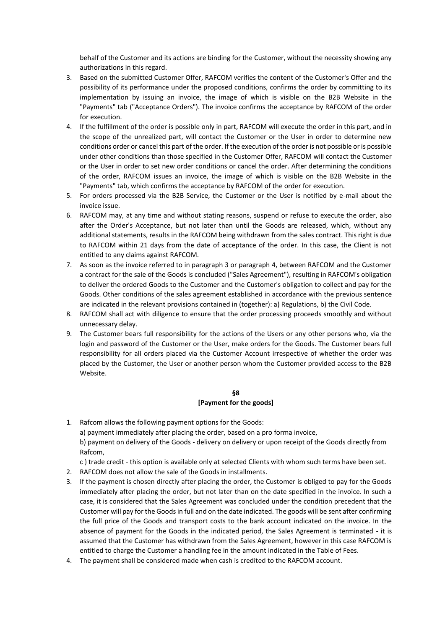behalf of the Customer and its actions are binding for the Customer, without the necessity showing any authorizations in this regard.

- 3. Based on the submitted Customer Offer, RAFCOM verifies the content of the Customer's Offer and the possibility of its performance under the proposed conditions, confirms the order by committing to its implementation by issuing an invoice, the image of which is visible on the B2B Website in the "Payments" tab ("Acceptance Orders"). The invoice confirms the acceptance by RAFCOM of the order for execution.
- 4. If the fulfillment of the order is possible only in part, RAFCOM will execute the order in this part, and in the scope of the unrealized part, will contact the Customer or the User in order to determine new conditions order or cancel this part of the order. If the execution of the order is not possible or is possible under other conditions than those specified in the Customer Offer, RAFCOM will contact the Customer or the User in order to set new order conditions or cancel the order. After determining the conditions of the order, RAFCOM issues an invoice, the image of which is visible on the B2B Website in the "Payments" tab, which confirms the acceptance by RAFCOM of the order for execution.
- 5. For orders processed via the B2B Service, the Customer or the User is notified by e-mail about the invoice issue.
- 6. RAFCOM may, at any time and without stating reasons, suspend or refuse to execute the order, also after the Order's Acceptance, but not later than until the Goods are released, which, without any additional statements, results in the RAFCOM being withdrawn from the sales contract. This right is due to RAFCOM within 21 days from the date of acceptance of the order. In this case, the Client is not entitled to any claims against RAFCOM.
- 7. As soon as the invoice referred to in paragraph 3 or paragraph 4, between RAFCOM and the Customer a contract for the sale of the Goods is concluded ("Sales Agreement"), resulting in RAFCOM's obligation to deliver the ordered Goods to the Customer and the Customer's obligation to collect and pay for the Goods. Other conditions of the sales agreement established in accordance with the previous sentence are indicated in the relevant provisions contained in (together): a) Regulations, b) the Civil Code.
- 8. RAFCOM shall act with diligence to ensure that the order processing proceeds smoothly and without unnecessary delay.
- 9. The Customer bears full responsibility for the actions of the Users or any other persons who, via the login and password of the Customer or the User, make orders for the Goods. The Customer bears full responsibility for all orders placed via the Customer Account irrespective of whether the order was placed by the Customer, the User or another person whom the Customer provided access to the B2B Website.

### **§8 [Payment for the goods]**

- 1. Rafcom allows the following payment options for the Goods: a) payment immediately after placing the order, based on a pro forma invoice, b) payment on delivery of the Goods - delivery on delivery or upon receipt of the Goods directly from Rafcom,
	- c ) trade credit this option is available only at selected Clients with whom such terms have been set.
- 2. RAFCOM does not allow the sale of the Goods in installments.
- 3. If the payment is chosen directly after placing the order, the Customer is obliged to pay for the Goods immediately after placing the order, but not later than on the date specified in the invoice. In such a case, it is considered that the Sales Agreement was concluded under the condition precedent that the Customer will pay for the Goods in full and on the date indicated. The goods will be sent after confirming the full price of the Goods and transport costs to the bank account indicated on the invoice. In the absence of payment for the Goods in the indicated period, the Sales Agreement is terminated - it is assumed that the Customer has withdrawn from the Sales Agreement, however in this case RAFCOM is entitled to charge the Customer a handling fee in the amount indicated in the Table of Fees.
- 4. The payment shall be considered made when cash is credited to the RAFCOM account.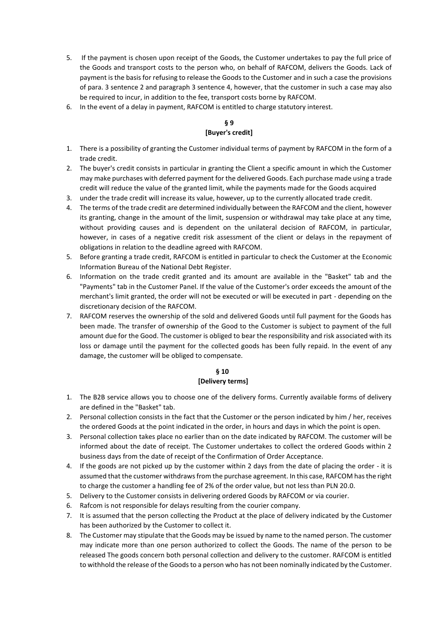- 5. If the payment is chosen upon receipt of the Goods, the Customer undertakes to pay the full price of the Goods and transport costs to the person who, on behalf of RAFCOM, delivers the Goods. Lack of payment is the basis for refusing to release the Goods to the Customer and in such a case the provisions of para. 3 sentence 2 and paragraph 3 sentence 4, however, that the customer in such a case may also be required to incur, in addition to the fee, transport costs borne by RAFCOM.
- 6. In the event of a delay in payment, RAFCOM is entitled to charge statutory interest.

# **§ 9 [Buyer's credit]**

- 1. There is a possibility of granting the Customer individual terms of payment by RAFCOM in the form of a trade credit.
- 2. The buyer's credit consists in particular in granting the Client a specific amount in which the Customer may make purchases with deferred payment for the delivered Goods. Each purchase made using a trade credit will reduce the value of the granted limit, while the payments made for the Goods acquired
- 3. under the trade credit will increase its value, however, up to the currently allocated trade credit.
- 4. The terms of the trade credit are determined individually between the RAFCOM and the client, however its granting, change in the amount of the limit, suspension or withdrawal may take place at any time, without providing causes and is dependent on the unilateral decision of RAFCOM, in particular, however, in cases of a negative credit risk assessment of the client or delays in the repayment of obligations in relation to the deadline agreed with RAFCOM.
- 5. Before granting a trade credit, RAFCOM is entitled in particular to check the Customer at the Economic Information Bureau of the National Debt Register.
- 6. Information on the trade credit granted and its amount are available in the "Basket" tab and the "Payments" tab in the Customer Panel. If the value of the Customer's order exceeds the amount of the merchant's limit granted, the order will not be executed or will be executed in part - depending on the discretionary decision of the RAFCOM.
- 7. RAFCOM reserves the ownership of the sold and delivered Goods until full payment for the Goods has been made. The transfer of ownership of the Good to the Customer is subject to payment of the full amount due for the Good. The customer is obliged to bear the responsibility and risk associated with its loss or damage until the payment for the collected goods has been fully repaid. In the event of any damage, the customer will be obliged to compensate.

### **§ 10**

#### **[Delivery terms]**

- 1. The B2B service allows you to choose one of the delivery forms. Currently available forms of delivery are defined in the "Basket" tab.
- 2. Personal collection consists in the fact that the Customer or the person indicated by him / her, receives the ordered Goods at the point indicated in the order, in hours and days in which the point is open.
- 3. Personal collection takes place no earlier than on the date indicated by RAFCOM. The customer will be informed about the date of receipt. The Customer undertakes to collect the ordered Goods within 2 business days from the date of receipt of the Confirmation of Order Acceptance.
- 4. If the goods are not picked up by the customer within 2 days from the date of placing the order it is assumed that the customer withdraws from the purchase agreement. In this case, RAFCOM has the right to charge the customer a handling fee of 2% of the order value, but not less than PLN 20.0.
- 5. Delivery to the Customer consists in delivering ordered Goods by RAFCOM or via courier.
- 6. Rafcom is not responsible for delays resulting from the courier company.
- 7. It is assumed that the person collecting the Product at the place of delivery indicated by the Customer has been authorized by the Customer to collect it.
- 8. The Customer may stipulate that the Goods may be issued by name to the named person. The customer may indicate more than one person authorized to collect the Goods. The name of the person to be released The goods concern both personal collection and delivery to the customer. RAFCOM is entitled to withhold the release of the Goods to a person who has not been nominally indicated by the Customer.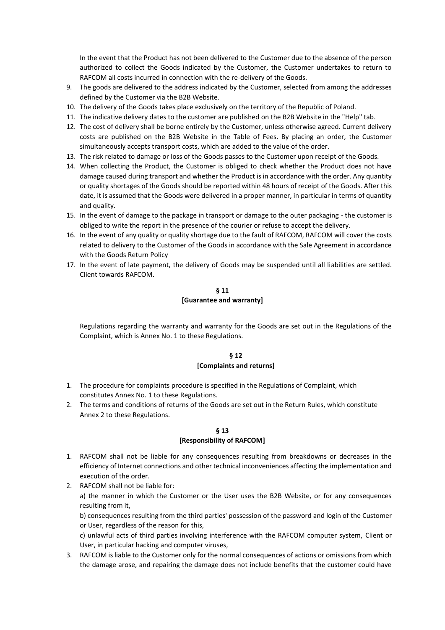In the event that the Product has not been delivered to the Customer due to the absence of the person authorized to collect the Goods indicated by the Customer, the Customer undertakes to return to RAFCOM all costs incurred in connection with the re-delivery of the Goods.

- 9. The goods are delivered to the address indicated by the Customer, selected from among the addresses defined by the Customer via the B2B Website.
- 10. The delivery of the Goods takes place exclusively on the territory of the Republic of Poland.
- 11. The indicative delivery dates to the customer are published on the B2B Website in the "Help" tab.
- 12. The cost of delivery shall be borne entirely by the Customer, unless otherwise agreed. Current delivery costs are published on the B2B Website in the Table of Fees. By placing an order, the Customer simultaneously accepts transport costs, which are added to the value of the order.
- 13. The risk related to damage or loss of the Goods passes to the Customer upon receipt of the Goods.
- 14. When collecting the Product, the Customer is obliged to check whether the Product does not have damage caused during transport and whether the Product is in accordance with the order. Any quantity or quality shortages of the Goods should be reported within 48 hours of receipt of the Goods. After this date, it is assumed that the Goods were delivered in a proper manner, in particular in terms of quantity and quality.
- 15. In the event of damage to the package in transport or damage to the outer packaging the customer is obliged to write the report in the presence of the courier or refuse to accept the delivery.
- 16. In the event of any quality or quality shortage due to the fault of RAFCOM, RAFCOM will cover the costs related to delivery to the Customer of the Goods in accordance with the Sale Agreement in accordance with the Goods Return Policy
- 17. In the event of late payment, the delivery of Goods may be suspended until all liabilities are settled. Client towards RAFCOM.

## **§ 11 [Guarantee and warranty]**

Regulations regarding the warranty and warranty for the Goods are set out in the Regulations of the Complaint, which is Annex No. 1 to these Regulations.

#### **§ 12**

#### **[Complaints and returns]**

- 1. The procedure for complaints procedure is specified in the Regulations of Complaint, which constitutes Annex No. 1 to these Regulations.
- 2. The terms and conditions of returns of the Goods are set out in the Return Rules, which constitute Annex 2 to these Regulations.

## **§ 13 [Responsibility of RAFCOM]**

- 1. RAFCOM shall not be liable for any consequences resulting from breakdowns or decreases in the efficiency of Internet connections and other technical inconveniences affecting the implementation and execution of the order.
- 2. RAFCOM shall not be liable for:

a) the manner in which the Customer or the User uses the B2B Website, or for any consequences resulting from it,

b) consequences resulting from the third parties' possession of the password and login of the Customer or User, regardless of the reason for this,

c) unlawful acts of third parties involving interference with the RAFCOM computer system, Client or User, in particular hacking and computer viruses,

3. RAFCOM is liable to the Customer only for the normal consequences of actions or omissions from which the damage arose, and repairing the damage does not include benefits that the customer could have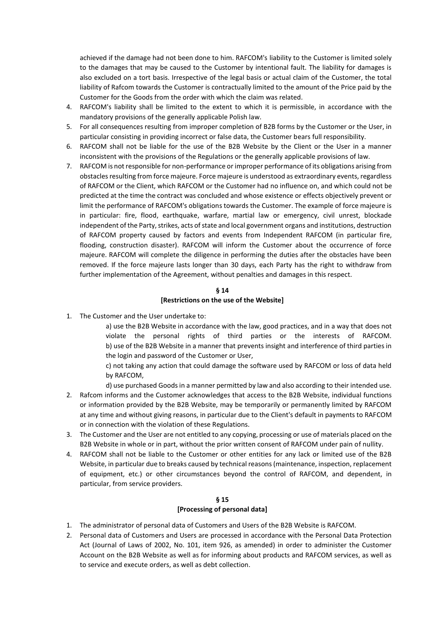achieved if the damage had not been done to him. RAFCOM's liability to the Customer is limited solely to the damages that may be caused to the Customer by intentional fault. The liability for damages is also excluded on a tort basis. Irrespective of the legal basis or actual claim of the Customer, the total liability of Rafcom towards the Customer is contractually limited to the amount of the Price paid by the Customer for the Goods from the order with which the claim was related.

- 4. RAFCOM's liability shall be limited to the extent to which it is permissible, in accordance with the mandatory provisions of the generally applicable Polish law.
- 5. For all consequences resulting from improper completion of B2B forms by the Customer or the User, in particular consisting in providing incorrect or false data, the Customer bears full responsibility.
- 6. RAFCOM shall not be liable for the use of the B2B Website by the Client or the User in a manner inconsistent with the provisions of the Regulations or the generally applicable provisions of law.
- 7. RAFCOM is not responsible for non-performance or improper performance of its obligations arising from obstacles resulting from force majeure. Force majeure is understood as extraordinary events, regardless of RAFCOM or the Client, which RAFCOM or the Customer had no influence on, and which could not be predicted at the time the contract was concluded and whose existence or effects objectively prevent or limit the performance of RAFCOM's obligations towards the Customer. The example of force majeure is in particular: fire, flood, earthquake, warfare, martial law or emergency, civil unrest, blockade independent of the Party, strikes, acts of state and local government organs and institutions, destruction of RAFCOM property caused by factors and events from Independent RAFCOM (in particular fire, flooding, construction disaster). RAFCOM will inform the Customer about the occurrence of force majeure. RAFCOM will complete the diligence in performing the duties after the obstacles have been removed. If the force majeure lasts longer than 30 days, each Party has the right to withdraw from further implementation of the Agreement, without penalties and damages in this respect.

## **§ 14 [Restrictions on the use of the Website]**

1. The Customer and the User undertake to:

a) use the B2B Website in accordance with the law, good practices, and in a way that does not violate the personal rights of third parties or the interests of RAFCOM. b) use of the B2B Website in a manner that prevents insight and interference of third parties in the login and password of the Customer or User,

c) not taking any action that could damage the software used by RAFCOM or loss of data held by RAFCOM,

d) use purchased Goods in a manner permitted by law and also according to their intended use.

- 2. Rafcom informs and the Customer acknowledges that access to the B2B Website, individual functions or information provided by the B2B Website, may be temporarily or permanently limited by RAFCOM at any time and without giving reasons, in particular due to the Client's default in payments to RAFCOM or in connection with the violation of these Regulations.
- 3. The Customer and the User are not entitled to any copying, processing or use of materials placed on the B2B Website in whole or in part, without the prior written consent of RAFCOM under pain of nullity.
- 4. RAFCOM shall not be liable to the Customer or other entities for any lack or limited use of the B2B Website, in particular due to breaks caused by technical reasons (maintenance, inspection, replacement of equipment, etc.) or other circumstances beyond the control of RAFCOM, and dependent, in particular, from service providers.

### **§ 15 [Processing of personal data]**

- 1. The administrator of personal data of Customers and Users of the B2B Website is RAFCOM.
- 2. Personal data of Customers and Users are processed in accordance with the Personal Data Protection Act (Journal of Laws of 2002, No. 101, item 926, as amended) in order to administer the Customer Account on the B2B Website as well as for informing about products and RAFCOM services, as well as to service and execute orders, as well as debt collection.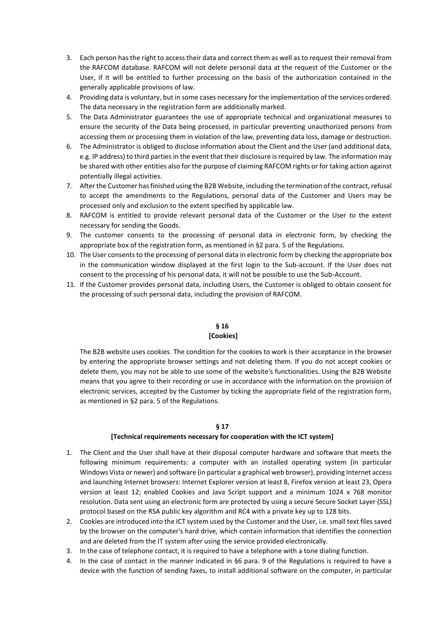- 3. Each person has the right to access their data and correct them as well as to request their removal from the RAFCOM database. RAFCOM will not delete personal data at the request of the Customer or the User, if it will be entitled to further processing on the basis of the authorization contained in the generally applicable provisions of law.
- 4. Providing data is voluntary, but in some cases necessary for the implementation of the services ordered. The data necessary in the registration form are additionally marked.
- 5. The Data Administrator guarantees the use of appropriate technical and organizational measures to ensure the security of the Data being processed, in particular preventing unauthorized persons from accessing them or processing them in violation of the law, preventing data loss, damage or destruction.
- 6. The Administrator is obliged to disclose information about the Client and the User (and additional data, e.g. IP address) to third parties in the event that their disclosure is required by law. The information may be shared with other entities also for the purpose of claiming RAFCOM rights or for taking action against potentially illegal activities.
- 7. After the Customer has finished using the B2B Website, including the termination of the contract, refusal to accept the amendments to the Regulations, personal data of the Customer and Users may be processed only and exclusion to the extent specified by applicable law.
- 8. RAFCOM is entitled to provide relevant personal data of the Customer or the User to the extent necessary for sending the Goods.
- 9. The customer consents to the processing of personal data in electronic form, by checking the appropriate box of the registration form, as mentioned in §2 para. 5 of the Regulations.
- 10. The User consents to the processing of personal data in electronic form by checking the appropriate box in the communication window displayed at the first login to the Sub-account. If the User does not consent to the processing of his personal data, it will not be possible to use the Sub-Account.
- 11. If the Customer provides personal data, including Users, the Customer is obliged to obtain consent for the processing of such personal data, including the provision of RAFCOM.

### **§ 16 [Cookies]**

The B2B website uses cookies. The condition for the cookies to work is their acceptance in the browser by entering the appropriate browser settings and not deleting them. If you do not accept cookies or delete them, you may not be able to use some of the website's functionalities. Using the B2B Website means that you agree to their recording or use in accordance with the information on the provision of electronic services, accepted by the Customer by ticking the appropriate field of the registration form, as mentioned in §2 para. 5 of the Regulations.

### **§ 17**

#### **[Technical requirements necessary for cooperation with the ICT system]**

- 1. The Client and the User shall have at their disposal computer hardware and software that meets the following minimum requirements: a computer with an installed operating system (in particular Windows Vista or newer) and software (in particular a graphical web browser), providing Internet access and launching Internet browsers: Internet Explorer version at least 8, Firefox version at least 23, Opera version at least 12; enabled Cookies and Java Script support and a minimum 1024 x 768 monitor resolution. Data sent using an electronic form are protected by using a secure Secure Socket Layer (SSL) protocol based on the RSA public key algorithm and RC4 with a private key up to 128 bits.
- 2. Cookies are introduced into the ICT system used by the Customer and the User, i.e. small text files saved by the browser on the computer's hard drive, which contain information that identifies the connection and are deleted from the IT system after using the service provided electronically.
- 3. In the case of telephone contact, it is required to have a telephone with a tone dialing function.
- 4. In the case of contact in the manner indicated in §6 para. 9 of the Regulations is required to have a device with the function of sending faxes, to install additional software on the computer, in particular